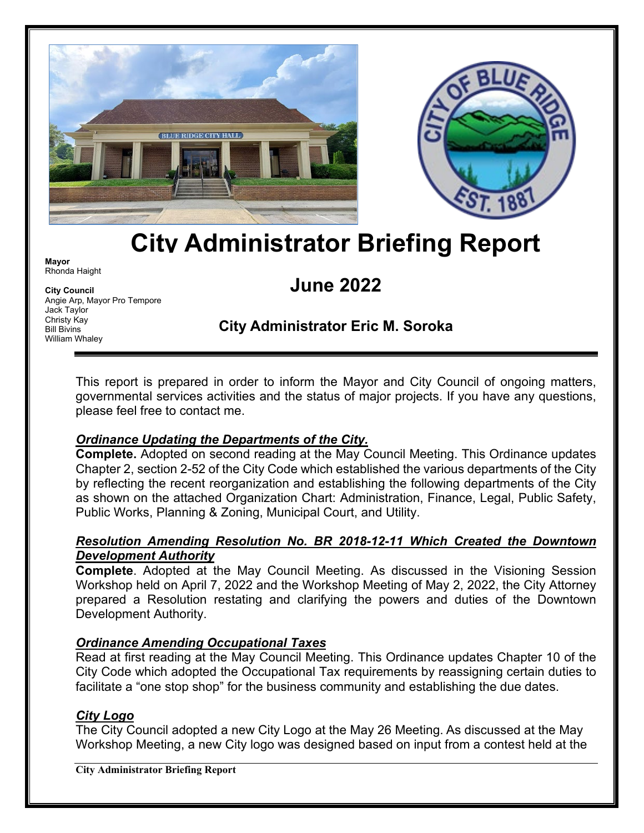



# **City Administrator Briefing Report**

**Mayor** Rhonda Haight

**City Council** Angie Arp, Mayor Pro Tempore Jack Taylor Christy Kay Bill Bivins William Whaley

# **June 2022**

# **City Administrator Eric M. Soroka**

This report is prepared in order to inform the Mayor and City Council of ongoing matters, governmental services activities and the status of major projects. If you have any questions, please feel free to contact me.

## *Ordinance Updating the Departments of the City.*

**Complete.** Adopted on second reading at the May Council Meeting. This Ordinance updates Chapter 2, section 2-52 of the City Code which established the various departments of the City by reflecting the recent reorganization and establishing the following departments of the City as shown on the attached Organization Chart: Administration, Finance, Legal, Public Safety, Public Works, Planning & Zoning, Municipal Court, and Utility.

#### *Resolution Amending Resolution No. BR 2018-12-11 Which Created the Downtown Development Authority*

**Complete**. Adopted at the May Council Meeting. As discussed in the Visioning Session Workshop held on April 7, 2022 and the Workshop Meeting of May 2, 2022, the City Attorney prepared a Resolution restating and clarifying the powers and duties of the Downtown Development Authority.

## *Ordinance Amending Occupational Taxes*

Read at first reading at the May Council Meeting. This Ordinance updates Chapter 10 of the City Code which adopted the Occupational Tax requirements by reassigning certain duties to facilitate a "one stop shop" for the business community and establishing the due dates.

## *City Logo*

The City Council adopted a new City Logo at the May 26 Meeting. As discussed at the May Workshop Meeting, a new City logo was designed based on input from a contest held at the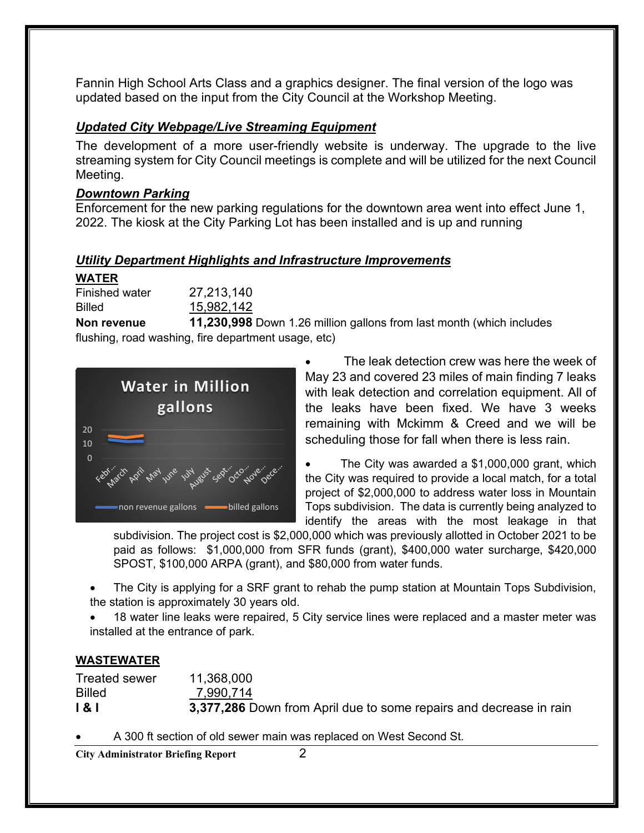Fannin High School Arts Class and a graphics designer. The final version of the logo was updated based on the input from the City Council at the Workshop Meeting.

#### *Updated City Webpage/Live Streaming Equipment*

The development of a more user-friendly website is underway. The upgrade to the live streaming system for City Council meetings is complete and will be utilized for the next Council Meeting.

#### *Downtown Parking*

Enforcement for the new parking regulations for the downtown area went into effect June 1, 2022. The kiosk at the City Parking Lot has been installed and is up and running

#### *Utility Department Highlights and Infrastructure Improvements*

#### **WATER**

| <b>Finished water</b> | 27,213,140 |
|-----------------------|------------|
| Billed                | 15,982,142 |

**Non revenue 11,230,998** Down 1.26 million gallons from last month (which includes flushing, road washing, fire department usage, etc)



The leak detection crew was here the week of May 23 and covered 23 miles of main finding 7 leaks with leak detection and correlation equipment. All of the leaks have been fixed. We have 3 weeks remaining with Mckimm & Creed and we will be scheduling those for fall when there is less rain.

The City was awarded a  $$1,000,000$  grant, which the City was required to provide a local match, for a total project of \$2,000,000 to address water loss in Mountain Tops subdivision. The data is currently being analyzed to identify the areas with the most leakage in that

subdivision. The project cost is \$2,000,000 which was previously allotted in October 2021 to be paid as follows: \$1,000,000 from SFR funds (grant), \$400,000 water surcharge, \$420,000 SPOST, \$100,000 ARPA (grant), and \$80,000 from water funds.

• The City is applying for a SRF grant to rehab the pump station at Mountain Tops Subdivision, the station is approximately 30 years old.

18 water line leaks were repaired, 5 City service lines were replaced and a master meter was installed at the entrance of park.

#### **WASTEWATER**

Treated sewer 11,368,000 Billed 7,990,714 **I & I** 3,377,286 Down from April due to some repairs and decrease in rain

• A 300 ft section of old sewer main was replaced on West Second St.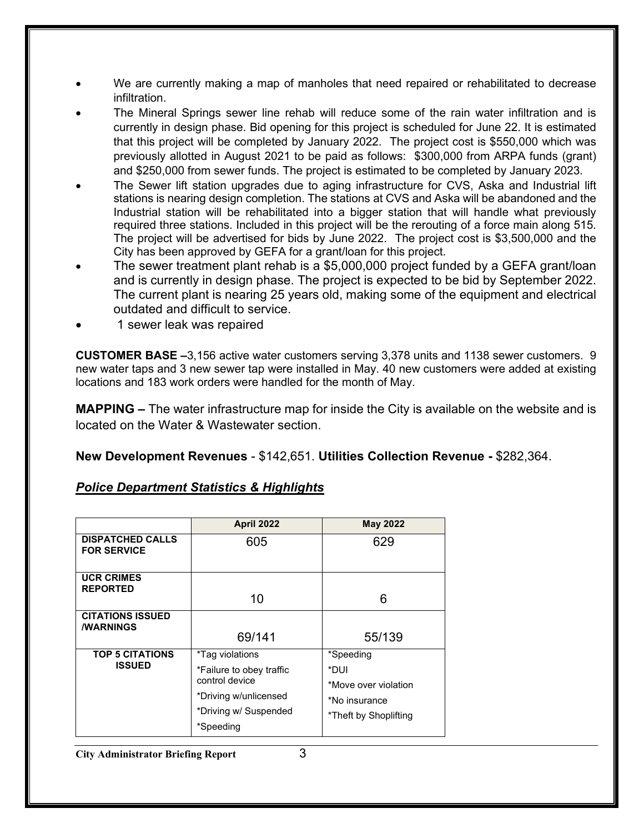- We are currently making a map of manholes that need repaired or rehabilitated to decrease infiltration.
- The Mineral Springs sewer line rehab will reduce some of the rain water infiltration and is currently in design phase. Bid opening for this project is scheduled for June 22. It is estimated that this project will be completed by January 2022. The project cost is \$550,000 which was previously allotted in August 2021 to be paid as follows: \$300,000 from ARPA funds (grant) and \$250,000 from sewer funds. The project is estimated to be completed by January 2023.
- The Sewer lift station upgrades due to aging infrastructure for CVS, Aska and Industrial lift stations is nearing design completion. The stations at CVS and Aska will be abandoned and the Industrial station will be rehabilitated into a bigger station that will handle what previously required three stations. Included in this project will be the rerouting of a force main along 515. The project will be advertised for bids by June 2022. The project cost is \$3,500,000 and the City has been approved by GEFA for a grant/loan for this project.
- The sewer treatment plant rehab is a \$5,000,000 project funded by a GEFA grant/loan and is currently in design phase. The project is expected to be bid by September 2022. The current plant is nearing 25 years old, making some of the equipment and electrical outdated and difficult to service.
- 1 sewer leak was repaired

**CUSTOMER BASE –**3,156 active water customers serving 3,378 units and 1138 sewer customers. 9 new water taps and 3 new sewer tap were installed in May. 40 new customers were added at existing locations and 183 work orders were handled for the month of May.

**MAPPING –** The water infrastructure map for inside the City is available on the website and is located on the Water & Wastewater section.

**New Development Revenues** - \$142,651. **Utilities Collection Revenue -** \$282,364.

#### *Police Department Statistics & Highlights*

|                                                    | <b>April 2022</b>                                                                                                            | <b>May 2022</b>                                                                     |
|----------------------------------------------------|------------------------------------------------------------------------------------------------------------------------------|-------------------------------------------------------------------------------------|
| <b>DISPATCHED CALLS</b><br><b>FOR SERVICE</b>      | 605                                                                                                                          | 629                                                                                 |
| <b>UCR CRIMES</b><br><b>REPORTED</b>               | 10                                                                                                                           | 6                                                                                   |
| <b>CITATIONS ISSUED</b><br><b><i>I</i>WARNINGS</b> | 69/141                                                                                                                       | 55/139                                                                              |
| <b>TOP 5 CITATIONS</b><br><b>ISSUED</b>            | *Tag violations<br>*Failure to obey traffic<br>control device<br>*Driving w/unlicensed<br>*Driving w/ Suspended<br>*Speeding | *Speeding<br>*DUI<br>*Move over violation<br>*No insurance<br>*Theft by Shoplifting |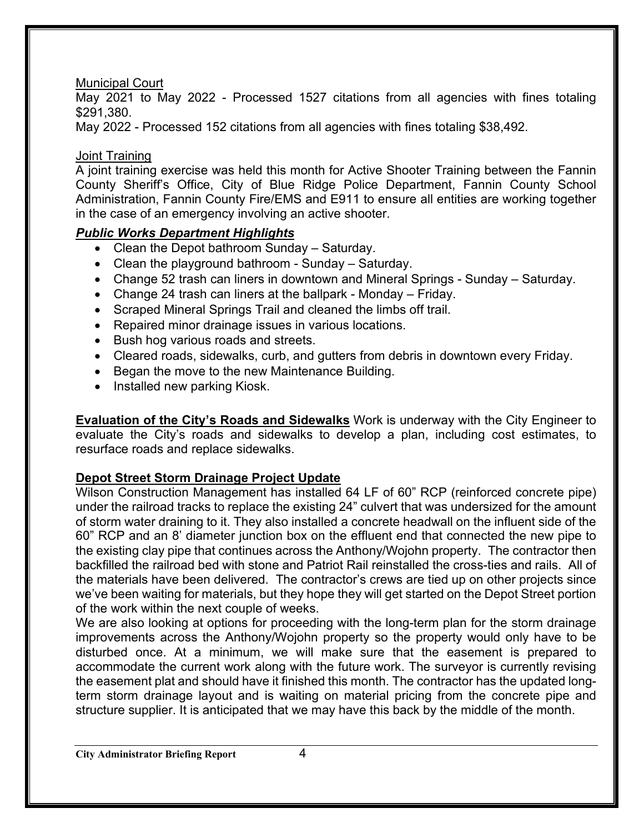#### Municipal Court

May 2021 to May 2022 - Processed 1527 citations from all agencies with fines totaling \$291,380.

May 2022 - Processed 152 citations from all agencies with fines totaling \$38,492.

#### Joint Training

A joint training exercise was held this month for Active Shooter Training between the Fannin County Sheriff's Office, City of Blue Ridge Police Department, Fannin County School Administration, Fannin County Fire/EMS and E911 to ensure all entities are working together in the case of an emergency involving an active shooter.

## *Public Works Department Highlights*

- Clean the Depot bathroom Sunday Saturday.
- Clean the playground bathroom Sunday Saturday.
- Change 52 trash can liners in downtown and Mineral Springs Sunday Saturday.
- Change 24 trash can liners at the ballpark Monday Friday.
- Scraped Mineral Springs Trail and cleaned the limbs off trail.
- Repaired minor drainage issues in various locations.
- Bush hog various roads and streets.
- Cleared roads, sidewalks, curb, and gutters from debris in downtown every Friday.
- Began the move to the new Maintenance Building.
- Installed new parking Kiosk.

**Evaluation of the City's Roads and Sidewalks** Work is underway with the City Engineer to evaluate the City's roads and sidewalks to develop a plan, including cost estimates, to resurface roads and replace sidewalks.

#### **Depot Street Storm Drainage Project Update**

Wilson Construction Management has installed 64 LF of 60" RCP (reinforced concrete pipe) under the railroad tracks to replace the existing 24" culvert that was undersized for the amount of storm water draining to it. They also installed a concrete headwall on the influent side of the 60" RCP and an 8' diameter junction box on the effluent end that connected the new pipe to the existing clay pipe that continues across the Anthony/Wojohn property. The contractor then backfilled the railroad bed with stone and Patriot Rail reinstalled the cross-ties and rails. All of the materials have been delivered. The contractor's crews are tied up on other projects since we've been waiting for materials, but they hope they will get started on the Depot Street portion of the work within the next couple of weeks.

We are also looking at options for proceeding with the long-term plan for the storm drainage improvements across the Anthony/Wojohn property so the property would only have to be disturbed once. At a minimum, we will make sure that the easement is prepared to accommodate the current work along with the future work. The surveyor is currently revising the easement plat and should have it finished this month. The contractor has the updated longterm storm drainage layout and is waiting on material pricing from the concrete pipe and structure supplier. It is anticipated that we may have this back by the middle of the month.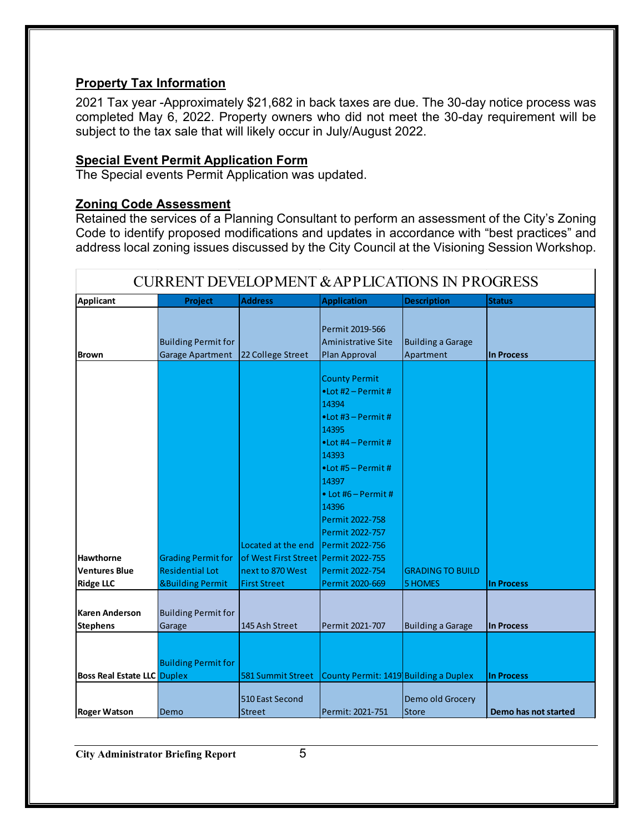## **Property Tax Information**

2021 Tax year -Approximately \$21,682 in back taxes are due. The 30-day notice process was completed May 6, 2022. Property owners who did not meet the 30-day requirement will be subject to the tax sale that will likely occur in July/August 2022.

#### **Special Event Permit Application Form**

The Special events Permit Application was updated.

#### **Zoning Code Assessment**

Retained the services of a Planning Consultant to perform an assessment of the City's Zoning Code to identify proposed modifications and updates in accordance with "best practices" and address local zoning issues discussed by the City Council at the Visioning Session Workshop.

| <b>CURRENT DEVELOPMENT &amp; APPLICATIONS IN PROGRESS</b> |                                                |                                        |                                                                                                                                                                                                                                                                                              |                                       |                      |  |
|-----------------------------------------------------------|------------------------------------------------|----------------------------------------|----------------------------------------------------------------------------------------------------------------------------------------------------------------------------------------------------------------------------------------------------------------------------------------------|---------------------------------------|----------------------|--|
| <b>Applicant</b>                                          | Project                                        | <b>Address</b>                         | <b>Application</b>                                                                                                                                                                                                                                                                           | <b>Description</b>                    | <b>Status</b>        |  |
| <b>Brown</b>                                              | <b>Building Permit for</b><br>Garage Apartment | 22 College Street                      | Permit 2019-566<br><b>Aministrative Site</b><br>Plan Approval                                                                                                                                                                                                                                | <b>Building a Garage</b><br>Apartment | In Process           |  |
|                                                           |                                                | Located at the end                     | <b>County Permit</b><br>$\bullet$ Lot #2 – Permit #<br>14394<br>$\bullet$ Lot #3 - Permit #<br>14395<br>$\bullet$ Lot #4 – Permit #<br>14393<br>$\bullet$ Lot #5 – Permit #<br>14397<br>$\bullet$ Lot #6 - Permit #<br>14396<br>Permit 2022-758<br>Permit 2022-757<br><b>Permit 2022-756</b> |                                       |                      |  |
| <b>Hawthorne</b>                                          | <b>Grading Permit for</b>                      | of West First Street   Permit 2022-755 |                                                                                                                                                                                                                                                                                              |                                       |                      |  |
| <b>Ventures Blue</b>                                      | <b>Residential Lot</b>                         | next to 870 West                       | Permit 2022-754                                                                                                                                                                                                                                                                              | <b>GRADING TO BUILD</b>               |                      |  |
| <b>Ridge LLC</b>                                          | <b>&amp;Building Permit</b>                    | <b>First Street</b>                    | Permit 2020-669                                                                                                                                                                                                                                                                              | <b>5 HOMES</b>                        | <b>In Process</b>    |  |
| <b>Karen Anderson</b><br><b>Stephens</b>                  | <b>Building Permit for</b><br>Garage           | 145 Ash Street                         | Permit 2021-707                                                                                                                                                                                                                                                                              | <b>Building a Garage</b>              | <b>In Process</b>    |  |
| <b>Boss Real Estate LLC Duplex</b>                        | <b>Building Permit for</b>                     | 581 Summit Street                      | County Permit: 1419 Building a Duplex                                                                                                                                                                                                                                                        |                                       | <b>In Process</b>    |  |
| <b>Roger Watson</b>                                       | Demo                                           | 510 East Second<br><b>Street</b>       | Permit: 2021-751                                                                                                                                                                                                                                                                             | Demo old Grocery<br><b>Store</b>      | Demo has not started |  |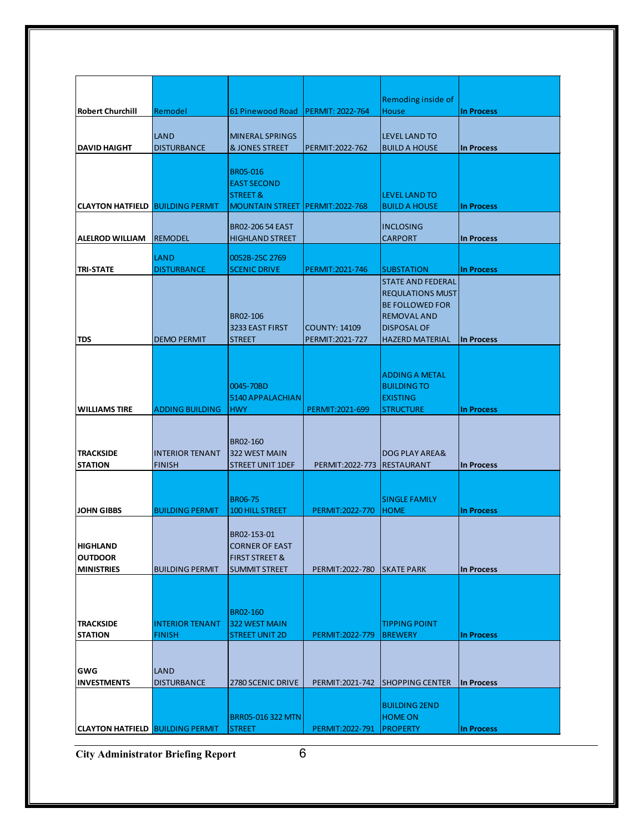|                                         |                                   |                                       |                            | Remoding inside of                           |                   |
|-----------------------------------------|-----------------------------------|---------------------------------------|----------------------------|----------------------------------------------|-------------------|
| <b>Robert Churchill</b>                 | Remodel                           | 61 Pinewood Road                      | <b>PERMIT: 2022-764</b>    | House                                        | <b>In Process</b> |
|                                         |                                   |                                       |                            |                                              |                   |
|                                         | LAND                              | <b>MINERAL SPRINGS</b>                |                            | <b>LEVEL LAND TO</b>                         |                   |
| <b>DAVID HAIGHT</b>                     | <b>DISTURBANCE</b>                | <b>&amp; JONES STREET</b>             | PERMIT: 2022-762           | <b>BUILD A HOUSE</b>                         | In Process        |
|                                         |                                   |                                       |                            |                                              |                   |
|                                         |                                   | BR05-016                              |                            |                                              |                   |
|                                         |                                   | <b>EAST SECOND</b>                    |                            |                                              |                   |
| <b>CLAYTON HATFIELD BUILDING PERMIT</b> |                                   | STREET &<br><b>MOUNTAIN STREET</b>    | <b>PERMIT:2022-768</b>     | <b>LEVEL LAND TO</b><br><b>BUILD A HOUSE</b> | <b>In Process</b> |
|                                         |                                   |                                       |                            |                                              |                   |
|                                         |                                   | <b>BR02-206 54 EAST</b>               |                            | <b>INCLOSING</b>                             |                   |
| <b>ALELROD WILLIAM</b>                  | <b>REMODEL</b>                    | <b>HIGHLAND STREET</b>                |                            | <b>CARPORT</b>                               | <b>In Process</b> |
|                                         |                                   |                                       |                            |                                              |                   |
| <b>TRI-STATE</b>                        | <b>LAND</b><br><b>DISTURBANCE</b> | 0052B-25C 2769<br><b>SCENIC DRIVE</b> | PERMIT:2021-746            | <b>SUBSTATION</b>                            | <b>In Process</b> |
|                                         |                                   |                                       |                            | <b>STATE AND FEDERAL</b>                     |                   |
|                                         |                                   |                                       |                            | <b>REQULATIONS MUST</b>                      |                   |
|                                         |                                   |                                       |                            | <b>BE FOLLOWED FOR</b>                       |                   |
|                                         |                                   | BR02-106                              |                            | <b>REMOVAL AND</b>                           |                   |
|                                         |                                   | 3233 EAST FIRST                       | <b>COUNTY: 14109</b>       | <b>DISPOSAL OF</b>                           |                   |
| <b>TDS</b>                              | <b>DEMO PERMIT</b>                | <b>STREET</b>                         | PERMIT:2021-727            | <b>HAZERD MATERIAL</b>                       | In Process        |
|                                         |                                   |                                       |                            |                                              |                   |
|                                         |                                   |                                       |                            |                                              |                   |
|                                         |                                   |                                       |                            | <b>ADDING A METAL</b>                        |                   |
|                                         |                                   | 0045-70BD                             |                            | <b>BUILDING TO</b>                           |                   |
|                                         |                                   | 5140 APPALACHIAN                      |                            | <b>EXISTING</b>                              |                   |
| <b>WILLIAMS TIRE</b>                    | <b>ADDING BUILDING</b>            | <b>HWY</b>                            | PERMIT:2021-699            | <b>STRUCTURE</b>                             | <b>In Process</b> |
|                                         |                                   |                                       |                            |                                              |                   |
|                                         |                                   | BR02-160                              |                            |                                              |                   |
| <b>TRACKSIDE</b>                        | <b>INTERIOR TENANT</b>            | 322 WEST MAIN                         |                            | DOG PLAY AREA&                               |                   |
| <b>STATION</b>                          | <b>FINISH</b>                     | <b>STREET UNIT 1DEF</b>               | PERMIT:2022-773 RESTAURANT |                                              | <b>In Process</b> |
|                                         |                                   |                                       |                            |                                              |                   |
|                                         |                                   |                                       |                            |                                              |                   |
|                                         |                                   | <b>BR06-75</b>                        |                            | <b>SINGLE FAMILY</b>                         |                   |
| <b>JOHN GIBBS</b>                       | <b>BUILDING PERMIT</b>            | <b>100 HILL STREET</b>                | PERMIT: 2022-770           | <b>HOME</b>                                  | <b>In Process</b> |
|                                         |                                   |                                       |                            |                                              |                   |
| <b>HIGHLAND</b>                         |                                   | BR02-153-01<br><b>CORNER OF EAST</b>  |                            |                                              |                   |
| <b>OUTDOOR</b>                          |                                   | <b>FIRST STREET &amp;</b>             |                            |                                              |                   |
| <b>MINISTRIES</b>                       | <b>BUILDING PERMIT</b>            | <b>SUMMIT STREET</b>                  | PERMIT: 2022-780           | <b>SKATE PARK</b>                            | <b>In Process</b> |
|                                         |                                   |                                       |                            |                                              |                   |
|                                         |                                   |                                       |                            |                                              |                   |
|                                         |                                   |                                       |                            |                                              |                   |
|                                         |                                   |                                       |                            |                                              |                   |
|                                         |                                   | BR02-160                              |                            |                                              |                   |
| <b>TRACKSIDE</b>                        | <b>INTERIOR TENANT</b>            | 322 WEST MAIN                         |                            | <b>TIPPING POINT</b>                         |                   |
| <b>STATION</b>                          | <b>FINISH</b>                     | <b>STREET UNIT 2D</b>                 | PERMIT: 2022-779           | <b>BREWERY</b>                               | <b>In Process</b> |
|                                         |                                   |                                       |                            |                                              |                   |
|                                         |                                   |                                       |                            |                                              |                   |
| GWG                                     | LAND                              |                                       |                            |                                              |                   |
| <b>INVESTMENTS</b>                      | <b>DISTURBANCE</b>                | 2780 SCENIC DRIVE                     | PERMIT: 2021-742           | <b>SHOPPING CENTER</b>                       | <b>In Process</b> |
|                                         |                                   |                                       |                            | <b>BUILDING 2END</b>                         |                   |
|                                         |                                   | BRR05-016 322 MTN                     |                            | <b>HOME ON</b>                               |                   |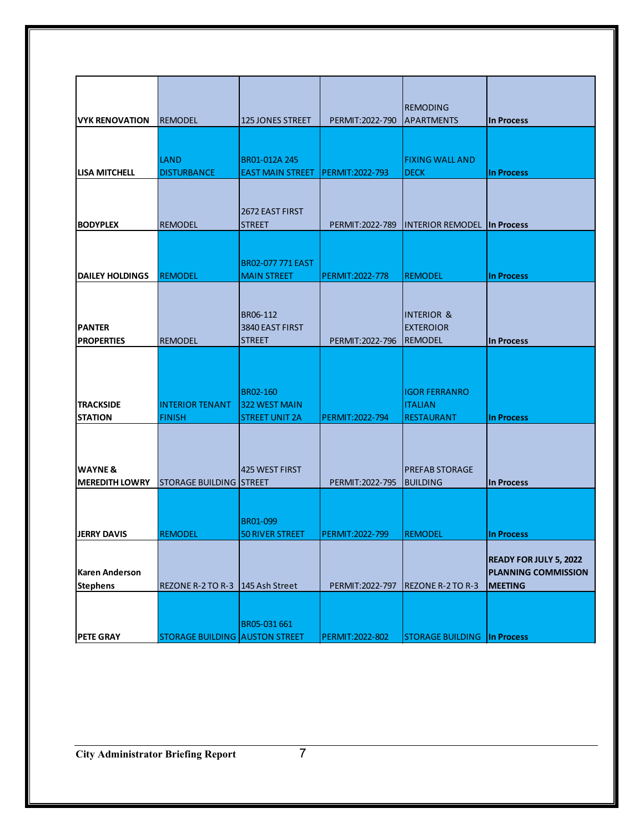|                        |                                       |                          |                        | <b>REMODING</b>                    |                               |
|------------------------|---------------------------------------|--------------------------|------------------------|------------------------------------|-------------------------------|
| <b>VYK RENOVATION</b>  | <b>REMODEL</b>                        | <b>125 JONES STREET</b>  | PERMIT: 2022-790       | <b>APARTMENTS</b>                  | <b>In Process</b>             |
|                        |                                       |                          |                        |                                    |                               |
|                        |                                       |                          |                        |                                    |                               |
|                        | <b>LAND</b>                           | BR01-012A 245            |                        | <b>FIXING WALL AND</b>             |                               |
| LISA MITCHELL          | <b>DISTURBANCE</b>                    | <b>EAST MAIN STREET</b>  | PERMIT: 2022-793       | <b>DECK</b>                        | <b>In Process</b>             |
|                        |                                       |                          |                        |                                    |                               |
|                        |                                       |                          |                        |                                    |                               |
|                        |                                       | 2672 EAST FIRST          |                        |                                    |                               |
| <b>BODYPLEX</b>        | <b>REMODEL</b>                        | <b>STREET</b>            | PERMIT: 2022-789       | <b>INTERIOR REMODEL</b>            | In Process                    |
|                        |                                       |                          |                        |                                    |                               |
|                        |                                       |                          |                        |                                    |                               |
|                        |                                       | <b>BR02-077 771 EAST</b> |                        |                                    |                               |
| <b>DAILEY HOLDINGS</b> | <b>REMODEL</b>                        | <b>MAIN STREET</b>       | <b>PERMIT:2022-778</b> | <b>REMODEL</b>                     | <b>In Process</b>             |
|                        |                                       |                          |                        |                                    |                               |
|                        |                                       |                          |                        |                                    |                               |
|                        |                                       |                          |                        |                                    |                               |
|                        |                                       | BR06-112                 |                        | <b>INTERIOR &amp;</b>              |                               |
| <b>PANTER</b>          |                                       | 3840 EAST FIRST          |                        | <b>EXTEROIOR</b>                   |                               |
| <b>PROPERTIES</b>      | <b>REMODEL</b>                        | <b>STREET</b>            | PERMIT: 2022-796       | <b>REMODEL</b>                     | <b>In Process</b>             |
|                        |                                       |                          |                        |                                    |                               |
|                        |                                       |                          |                        |                                    |                               |
|                        |                                       |                          |                        |                                    |                               |
|                        |                                       | BR02-160                 |                        | <b>IGOR FERRANRO</b>               |                               |
| <b>TRACKSIDE</b>       | <b>INTERIOR TENANT</b>                | <b>322 WEST MAIN</b>     |                        | <b>ITALIAN</b>                     |                               |
| <b>STATION</b>         | <b>FINISH</b>                         | <b>STREET UNIT 2A</b>    | PERMIT: 2022-794       | <b>RESTAURANT</b>                  | <b>In Process</b>             |
|                        |                                       |                          |                        |                                    |                               |
|                        |                                       |                          |                        |                                    |                               |
|                        |                                       |                          |                        |                                    |                               |
| <b>WAYNE &amp;</b>     |                                       | 425 WEST FIRST           |                        | <b>PREFAB STORAGE</b>              |                               |
| <b>MEREDITH LOWRY</b>  | ISTORAGE BUILDING ISTREET             |                          | PERMIT: 2022-795       | <b>BUILDING</b>                    | <b>In Process</b>             |
|                        |                                       |                          |                        |                                    |                               |
|                        |                                       |                          |                        |                                    |                               |
|                        |                                       | BR01-099                 |                        |                                    |                               |
| <b>JERRY DAVIS</b>     | <b>REMODEL</b>                        | <b>50 RIVER STREET</b>   | PERMIT: 2022-799       | <b>REMODEL</b>                     | <b>In Process</b>             |
|                        |                                       |                          |                        |                                    |                               |
|                        |                                       |                          |                        |                                    | <b>READY FOR JULY 5, 2022</b> |
| <b>Karen Anderson</b>  |                                       |                          |                        |                                    | <b>PLANNING COMMISSION</b>    |
|                        | REZONE R-2 TO R-3 145 Ash Street      |                          | PERMIT: 2022-797       | <b>REZONE R-2 TO R-3</b>           | <b>MEETING</b>                |
| <b>Stephens</b>        |                                       |                          |                        |                                    |                               |
|                        |                                       |                          |                        |                                    |                               |
|                        |                                       |                          |                        |                                    |                               |
|                        |                                       | BR05-031 661             |                        |                                    |                               |
| <b>PETE GRAY</b>       | <b>STORAGE BUILDING AUSTON STREET</b> |                          | PERMIT: 2022-802       | <b>STORAGE BUILDING In Process</b> |                               |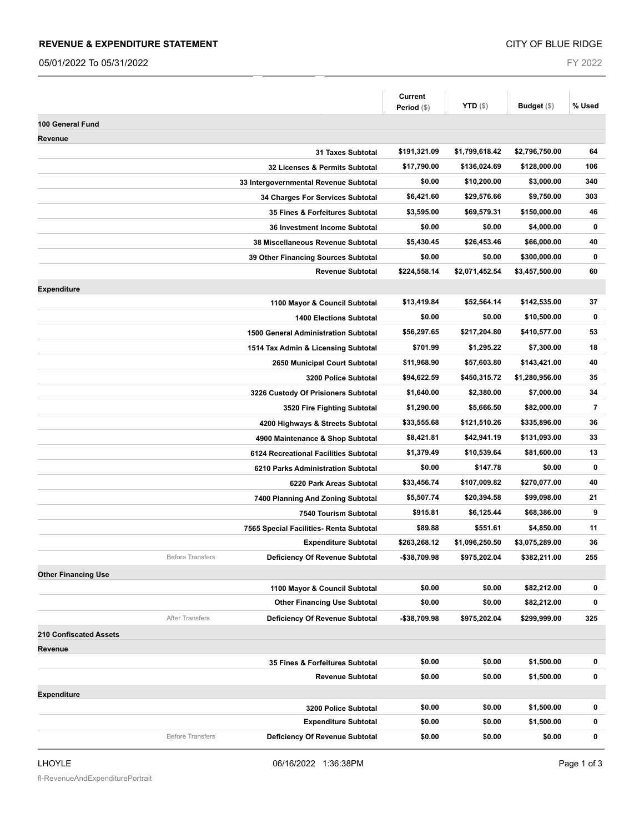#### **REVENUE & EXPENDITURE STATEMENT**

05/01/2022 To 05/31/2022

FY 2022

|                                                           | Current<br>Period (\$) | <b>YTD</b> $(\$)$ | Budget (\$)    | % Used                  |
|-----------------------------------------------------------|------------------------|-------------------|----------------|-------------------------|
|                                                           |                        |                   |                |                         |
| 100 General Fund                                          |                        |                   |                |                         |
| Revenue                                                   |                        |                   |                | 64                      |
| 31 Taxes Subtotal                                         | \$191,321.09           | \$1,799,618.42    | \$2,796,750.00 |                         |
| 32 Licenses & Permits Subtotal                            | \$17,790.00            | \$136,024.69      | \$128,000.00   | 106                     |
| 33 Intergovernmental Revenue Subtotal                     | \$0.00                 | \$10,200.00       | \$3,000.00     | 340                     |
| 34 Charges For Services Subtotal                          | \$6,421.60             | \$29,576.66       | \$9,750.00     | 303                     |
| 35 Fines & Forfeitures Subtotal                           | \$3,595.00             | \$69,579.31       | \$150,000.00   | 46                      |
| 36 Investment Income Subtotal                             | \$0.00                 | \$0.00            | \$4,000.00     | $\bf{0}$                |
| 38 Miscellaneous Revenue Subtotal                         | \$5,430.45             | \$26,453.46       | \$66,000.00    | 40                      |
| 39 Other Financing Sources Subtotal                       | \$0.00                 | \$0.00            | \$300,000.00   | 0                       |
| <b>Revenue Subtotal</b>                                   | \$224,558.14           | \$2,071,452.54    | \$3,457,500.00 | 60                      |
| <b>Expenditure</b>                                        |                        |                   |                |                         |
| 1100 Mayor & Council Subtotal                             | \$13,419.84            | \$52,564.14       | \$142,535.00   | 37                      |
| <b>1400 Elections Subtotal</b>                            | \$0.00                 | \$0.00            | \$10,500.00    | $\bf{0}$                |
| 1500 General Administration Subtotal                      | \$56,297.65            | \$217,204.80      | \$410,577.00   | 53                      |
| 1514 Tax Admin & Licensing Subtotal                       | \$701.99               | \$1,295.22        | \$7,300.00     | 18                      |
| 2650 Municipal Court Subtotal                             | \$11,968.90            | \$57,603.80       | \$143,421.00   | 40                      |
| 3200 Police Subtotal                                      | \$94,622.59            | \$450,315.72      | \$1,280,956.00 | 35                      |
| 3226 Custody Of Prisioners Subtotal                       | \$1,640.00             | \$2,380.00        | \$7,000.00     | 34                      |
| 3520 Fire Fighting Subtotal                               | \$1,290.00             | \$5,666.50        | \$82,000.00    | $\overline{\mathbf{r}}$ |
| 4200 Highways & Streets Subtotal                          | \$33,555.68            | \$121,510.26      | \$335,896.00   | 36                      |
| 4900 Maintenance & Shop Subtotal                          | \$8,421.81             | \$42,941.19       | \$131,093.00   | 33                      |
| 6124 Recreational Facilities Subtotal                     | \$1,379.49             | \$10,539.64       | \$81,600.00    | 13                      |
| 6210 Parks Administration Subtotal                        | \$0.00                 | \$147.78          | \$0.00         | 0                       |
| 6220 Park Areas Subtotal                                  | \$33,456.74            | \$107,009.82      | \$270,077.00   | 40                      |
| 7400 Planning And Zoning Subtotal                         | \$5,507.74             | \$20,394.58       | \$99,098.00    | 21                      |
| 7540 Tourism Subtotal                                     | \$915.81               | \$6,125.44        | \$68,386.00    | 9                       |
| 7565 Special Facilities- Renta Subtotal                   | \$89.88                | \$551.61          | \$4,850.00     | 11                      |
| <b>Expenditure Subtotal</b>                               | \$263,268.12           | \$1,096,250.50    | \$3,075,289.00 | 36                      |
| <b>Before Transfers</b><br>Deficiency Of Revenue Subtotal | -\$38,709.98           | \$975,202.04      | \$382,211.00   | 255                     |
| <b>Other Financing Use</b>                                |                        |                   |                |                         |
| 1100 Mayor & Council Subtotal                             | \$0.00                 | \$0.00            | \$82,212.00    | 0                       |
| <b>Other Financing Use Subtotal</b>                       | \$0.00                 | \$0.00            | \$82,212.00    | 0                       |
| After Transfers<br>Deficiency Of Revenue Subtotal         | -\$38,709.98           | \$975,202.04      | \$299,999.00   | 325                     |
| <b>210 Confiscated Assets</b>                             |                        |                   |                |                         |
| Revenue                                                   |                        |                   |                |                         |
| 35 Fines & Forfeitures Subtotal                           | \$0.00                 | \$0.00            | \$1,500.00     | 0                       |
| <b>Revenue Subtotal</b>                                   | \$0.00                 | \$0.00            | \$1,500.00     | $\pmb{0}$               |
| <b>Expenditure</b>                                        |                        |                   |                |                         |
| 3200 Police Subtotal                                      | \$0.00                 | \$0.00            | \$1,500.00     | 0                       |
| <b>Expenditure Subtotal</b>                               | \$0.00                 | \$0.00            | \$1,500.00     | 0                       |
| <b>Before Transfers</b><br>Deficiency Of Revenue Subtotal | \$0.00                 | \$0.00            | \$0.00         | 0                       |
|                                                           |                        |                   |                |                         |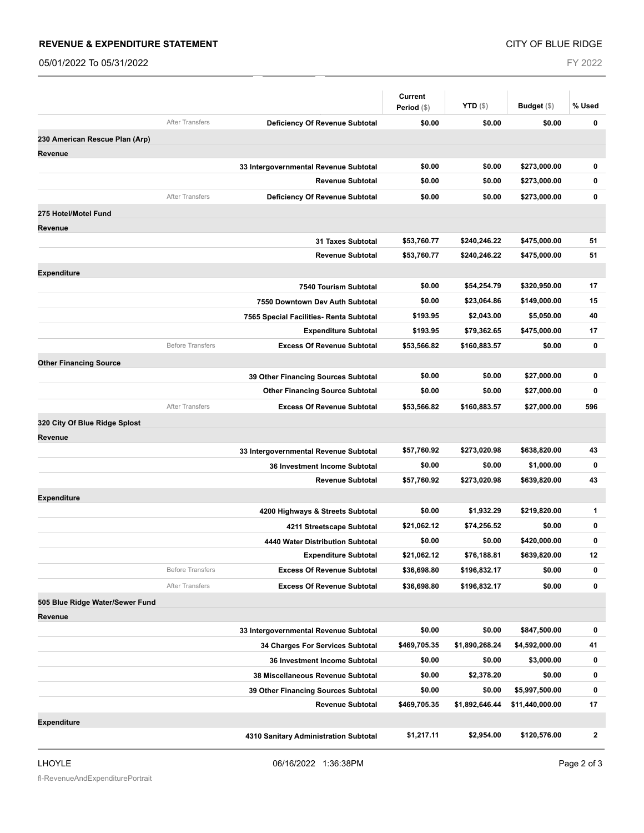#### **REVENUE & EXPENDITURE STATEMENT**

05/01/2022 To 05/31/2022

FY 2022

| <b>YTD</b> $(\$)$<br>Budget $(\$)$<br>% Used<br>Period (\$)<br><b>After Transfers</b><br><b>Deficiency Of Revenue Subtotal</b><br>\$0.00<br>\$0.00<br>\$0.00<br>0<br>230 American Rescue Plan (Arp)<br><b>Revenue</b><br>\$0.00<br>\$0.00<br>\$273,000.00<br>0<br>33 Intergovernmental Revenue Subtotal<br>\$0.00<br>$\bf{0}$<br><b>Revenue Subtotal</b><br>\$0.00<br>\$273,000.00<br><b>After Transfers</b><br>Deficiency Of Revenue Subtotal<br>\$0.00<br>\$0.00<br>$\mathbf 0$<br>\$273,000.00<br>275 Hotel/Motel Fund<br>Revenue<br>\$53,760.77<br>\$240,246.22<br>\$475,000.00<br>51<br><b>31 Taxes Subtotal</b><br><b>Revenue Subtotal</b><br>\$53,760.77<br>\$240,246.22<br>51<br>\$475,000.00<br><b>Expenditure</b><br>\$0.00<br>\$54,254.79<br>17<br>\$320,950.00<br>7540 Tourism Subtotal<br>\$0.00<br>\$23,064.86<br>\$149,000.00<br>15<br>7550 Downtown Dev Auth Subtotal<br>\$193.95<br>\$2,043.00<br>\$5,050.00<br>40<br>7565 Special Facilities- Renta Subtotal<br><b>Expenditure Subtotal</b><br>\$193.95<br>\$79,362.65<br>\$475,000.00<br>17<br><b>Before Transfers</b><br><b>Excess Of Revenue Subtotal</b><br>$\bf{0}$<br>\$53,566.82<br>\$160,883.57<br>\$0.00<br><b>Other Financing Source</b><br>0<br>\$0.00<br>\$0.00<br>\$27,000.00<br>39 Other Financing Sources Subtotal<br><b>Other Financing Source Subtotal</b><br>\$0.00<br>\$0.00<br>\$27,000.00<br>0<br><b>After Transfers</b><br><b>Excess Of Revenue Subtotal</b><br>\$53,566.82<br>\$160,883.57<br>596<br>\$27,000.00<br>320 City Of Blue Ridge Splost<br>Revenue<br>\$57,760.92<br>\$273,020.98<br>\$638,820.00<br>43<br>33 Intergovernmental Revenue Subtotal<br>$\mathbf 0$<br>\$0.00<br>\$0.00<br>\$1,000.00<br>36 Investment Income Subtotal<br>43<br><b>Revenue Subtotal</b><br>\$57,760.92<br>\$273,020.98<br>\$639,820.00<br><b>Expenditure</b><br>\$0.00<br>\$1,932.29<br>\$219,820.00<br>1<br>4200 Highways & Streets Subtotal<br>\$21,062.12<br>\$74,256.52<br>\$0.00<br>0<br>4211 Streetscape Subtotal<br>0<br>\$0.00<br>\$0.00<br>\$420,000.00<br>4440 Water Distribution Subtotal<br><b>Expenditure Subtotal</b><br>\$21,062.12<br>\$76,188.81<br>\$639,820.00<br>12<br><b>Before Transfers</b><br><b>Excess Of Revenue Subtotal</b><br>\$36,698.80<br>\$196,832.17<br>\$0.00<br>0<br><b>After Transfers</b><br>$\bf{0}$<br><b>Excess Of Revenue Subtotal</b><br>\$36,698.80<br>\$196,832.17<br>\$0.00<br>505 Blue Ridge Water/Sewer Fund<br>Revenue<br>\$0.00<br>\$0.00<br>\$847,500.00<br>0<br>33 Intergovernmental Revenue Subtotal<br>\$469,705.35<br>\$1,890,268.24<br>\$4,592,000.00<br>41<br>34 Charges For Services Subtotal<br>\$0.00<br>\$0.00<br>\$3,000.00<br>0<br>36 Investment Income Subtotal<br>\$0.00<br>\$2,378.20<br>\$0.00<br>0<br>38 Miscellaneous Revenue Subtotal<br>\$0.00<br>\$0.00<br>\$5,997,500.00<br>0<br>39 Other Financing Sources Subtotal<br>17<br><b>Revenue Subtotal</b><br>\$469,705.35<br>\$1,892,646.44<br>\$11,440,000.00<br><b>Expenditure</b><br>$\mathbf{2}$<br>\$1,217.11<br>\$2,954.00<br>\$120,576.00<br>4310 Sanitary Administration Subtotal |  | <b>Current</b> |  |  |
|-----------------------------------------------------------------------------------------------------------------------------------------------------------------------------------------------------------------------------------------------------------------------------------------------------------------------------------------------------------------------------------------------------------------------------------------------------------------------------------------------------------------------------------------------------------------------------------------------------------------------------------------------------------------------------------------------------------------------------------------------------------------------------------------------------------------------------------------------------------------------------------------------------------------------------------------------------------------------------------------------------------------------------------------------------------------------------------------------------------------------------------------------------------------------------------------------------------------------------------------------------------------------------------------------------------------------------------------------------------------------------------------------------------------------------------------------------------------------------------------------------------------------------------------------------------------------------------------------------------------------------------------------------------------------------------------------------------------------------------------------------------------------------------------------------------------------------------------------------------------------------------------------------------------------------------------------------------------------------------------------------------------------------------------------------------------------------------------------------------------------------------------------------------------------------------------------------------------------------------------------------------------------------------------------------------------------------------------------------------------------------------------------------------------------------------------------------------------------------------------------------------------------------------------------------------------------------------------------------------------------------------------------------------------------------------------------------------------------------------------------------------------------------------------------------------------------------------------------------------------------------------------------------------------------------------------------------------------------------------------------------------------------------------------------------------------------------------------------|--|----------------|--|--|
|                                                                                                                                                                                                                                                                                                                                                                                                                                                                                                                                                                                                                                                                                                                                                                                                                                                                                                                                                                                                                                                                                                                                                                                                                                                                                                                                                                                                                                                                                                                                                                                                                                                                                                                                                                                                                                                                                                                                                                                                                                                                                                                                                                                                                                                                                                                                                                                                                                                                                                                                                                                                                                                                                                                                                                                                                                                                                                                                                                                                                                                                                               |  |                |  |  |
|                                                                                                                                                                                                                                                                                                                                                                                                                                                                                                                                                                                                                                                                                                                                                                                                                                                                                                                                                                                                                                                                                                                                                                                                                                                                                                                                                                                                                                                                                                                                                                                                                                                                                                                                                                                                                                                                                                                                                                                                                                                                                                                                                                                                                                                                                                                                                                                                                                                                                                                                                                                                                                                                                                                                                                                                                                                                                                                                                                                                                                                                                               |  |                |  |  |
|                                                                                                                                                                                                                                                                                                                                                                                                                                                                                                                                                                                                                                                                                                                                                                                                                                                                                                                                                                                                                                                                                                                                                                                                                                                                                                                                                                                                                                                                                                                                                                                                                                                                                                                                                                                                                                                                                                                                                                                                                                                                                                                                                                                                                                                                                                                                                                                                                                                                                                                                                                                                                                                                                                                                                                                                                                                                                                                                                                                                                                                                                               |  |                |  |  |
|                                                                                                                                                                                                                                                                                                                                                                                                                                                                                                                                                                                                                                                                                                                                                                                                                                                                                                                                                                                                                                                                                                                                                                                                                                                                                                                                                                                                                                                                                                                                                                                                                                                                                                                                                                                                                                                                                                                                                                                                                                                                                                                                                                                                                                                                                                                                                                                                                                                                                                                                                                                                                                                                                                                                                                                                                                                                                                                                                                                                                                                                                               |  |                |  |  |
|                                                                                                                                                                                                                                                                                                                                                                                                                                                                                                                                                                                                                                                                                                                                                                                                                                                                                                                                                                                                                                                                                                                                                                                                                                                                                                                                                                                                                                                                                                                                                                                                                                                                                                                                                                                                                                                                                                                                                                                                                                                                                                                                                                                                                                                                                                                                                                                                                                                                                                                                                                                                                                                                                                                                                                                                                                                                                                                                                                                                                                                                                               |  |                |  |  |
|                                                                                                                                                                                                                                                                                                                                                                                                                                                                                                                                                                                                                                                                                                                                                                                                                                                                                                                                                                                                                                                                                                                                                                                                                                                                                                                                                                                                                                                                                                                                                                                                                                                                                                                                                                                                                                                                                                                                                                                                                                                                                                                                                                                                                                                                                                                                                                                                                                                                                                                                                                                                                                                                                                                                                                                                                                                                                                                                                                                                                                                                                               |  |                |  |  |
|                                                                                                                                                                                                                                                                                                                                                                                                                                                                                                                                                                                                                                                                                                                                                                                                                                                                                                                                                                                                                                                                                                                                                                                                                                                                                                                                                                                                                                                                                                                                                                                                                                                                                                                                                                                                                                                                                                                                                                                                                                                                                                                                                                                                                                                                                                                                                                                                                                                                                                                                                                                                                                                                                                                                                                                                                                                                                                                                                                                                                                                                                               |  |                |  |  |
|                                                                                                                                                                                                                                                                                                                                                                                                                                                                                                                                                                                                                                                                                                                                                                                                                                                                                                                                                                                                                                                                                                                                                                                                                                                                                                                                                                                                                                                                                                                                                                                                                                                                                                                                                                                                                                                                                                                                                                                                                                                                                                                                                                                                                                                                                                                                                                                                                                                                                                                                                                                                                                                                                                                                                                                                                                                                                                                                                                                                                                                                                               |  |                |  |  |
|                                                                                                                                                                                                                                                                                                                                                                                                                                                                                                                                                                                                                                                                                                                                                                                                                                                                                                                                                                                                                                                                                                                                                                                                                                                                                                                                                                                                                                                                                                                                                                                                                                                                                                                                                                                                                                                                                                                                                                                                                                                                                                                                                                                                                                                                                                                                                                                                                                                                                                                                                                                                                                                                                                                                                                                                                                                                                                                                                                                                                                                                                               |  |                |  |  |
|                                                                                                                                                                                                                                                                                                                                                                                                                                                                                                                                                                                                                                                                                                                                                                                                                                                                                                                                                                                                                                                                                                                                                                                                                                                                                                                                                                                                                                                                                                                                                                                                                                                                                                                                                                                                                                                                                                                                                                                                                                                                                                                                                                                                                                                                                                                                                                                                                                                                                                                                                                                                                                                                                                                                                                                                                                                                                                                                                                                                                                                                                               |  |                |  |  |
|                                                                                                                                                                                                                                                                                                                                                                                                                                                                                                                                                                                                                                                                                                                                                                                                                                                                                                                                                                                                                                                                                                                                                                                                                                                                                                                                                                                                                                                                                                                                                                                                                                                                                                                                                                                                                                                                                                                                                                                                                                                                                                                                                                                                                                                                                                                                                                                                                                                                                                                                                                                                                                                                                                                                                                                                                                                                                                                                                                                                                                                                                               |  |                |  |  |
|                                                                                                                                                                                                                                                                                                                                                                                                                                                                                                                                                                                                                                                                                                                                                                                                                                                                                                                                                                                                                                                                                                                                                                                                                                                                                                                                                                                                                                                                                                                                                                                                                                                                                                                                                                                                                                                                                                                                                                                                                                                                                                                                                                                                                                                                                                                                                                                                                                                                                                                                                                                                                                                                                                                                                                                                                                                                                                                                                                                                                                                                                               |  |                |  |  |
|                                                                                                                                                                                                                                                                                                                                                                                                                                                                                                                                                                                                                                                                                                                                                                                                                                                                                                                                                                                                                                                                                                                                                                                                                                                                                                                                                                                                                                                                                                                                                                                                                                                                                                                                                                                                                                                                                                                                                                                                                                                                                                                                                                                                                                                                                                                                                                                                                                                                                                                                                                                                                                                                                                                                                                                                                                                                                                                                                                                                                                                                                               |  |                |  |  |
|                                                                                                                                                                                                                                                                                                                                                                                                                                                                                                                                                                                                                                                                                                                                                                                                                                                                                                                                                                                                                                                                                                                                                                                                                                                                                                                                                                                                                                                                                                                                                                                                                                                                                                                                                                                                                                                                                                                                                                                                                                                                                                                                                                                                                                                                                                                                                                                                                                                                                                                                                                                                                                                                                                                                                                                                                                                                                                                                                                                                                                                                                               |  |                |  |  |
|                                                                                                                                                                                                                                                                                                                                                                                                                                                                                                                                                                                                                                                                                                                                                                                                                                                                                                                                                                                                                                                                                                                                                                                                                                                                                                                                                                                                                                                                                                                                                                                                                                                                                                                                                                                                                                                                                                                                                                                                                                                                                                                                                                                                                                                                                                                                                                                                                                                                                                                                                                                                                                                                                                                                                                                                                                                                                                                                                                                                                                                                                               |  |                |  |  |
|                                                                                                                                                                                                                                                                                                                                                                                                                                                                                                                                                                                                                                                                                                                                                                                                                                                                                                                                                                                                                                                                                                                                                                                                                                                                                                                                                                                                                                                                                                                                                                                                                                                                                                                                                                                                                                                                                                                                                                                                                                                                                                                                                                                                                                                                                                                                                                                                                                                                                                                                                                                                                                                                                                                                                                                                                                                                                                                                                                                                                                                                                               |  |                |  |  |
|                                                                                                                                                                                                                                                                                                                                                                                                                                                                                                                                                                                                                                                                                                                                                                                                                                                                                                                                                                                                                                                                                                                                                                                                                                                                                                                                                                                                                                                                                                                                                                                                                                                                                                                                                                                                                                                                                                                                                                                                                                                                                                                                                                                                                                                                                                                                                                                                                                                                                                                                                                                                                                                                                                                                                                                                                                                                                                                                                                                                                                                                                               |  |                |  |  |
|                                                                                                                                                                                                                                                                                                                                                                                                                                                                                                                                                                                                                                                                                                                                                                                                                                                                                                                                                                                                                                                                                                                                                                                                                                                                                                                                                                                                                                                                                                                                                                                                                                                                                                                                                                                                                                                                                                                                                                                                                                                                                                                                                                                                                                                                                                                                                                                                                                                                                                                                                                                                                                                                                                                                                                                                                                                                                                                                                                                                                                                                                               |  |                |  |  |
|                                                                                                                                                                                                                                                                                                                                                                                                                                                                                                                                                                                                                                                                                                                                                                                                                                                                                                                                                                                                                                                                                                                                                                                                                                                                                                                                                                                                                                                                                                                                                                                                                                                                                                                                                                                                                                                                                                                                                                                                                                                                                                                                                                                                                                                                                                                                                                                                                                                                                                                                                                                                                                                                                                                                                                                                                                                                                                                                                                                                                                                                                               |  |                |  |  |
|                                                                                                                                                                                                                                                                                                                                                                                                                                                                                                                                                                                                                                                                                                                                                                                                                                                                                                                                                                                                                                                                                                                                                                                                                                                                                                                                                                                                                                                                                                                                                                                                                                                                                                                                                                                                                                                                                                                                                                                                                                                                                                                                                                                                                                                                                                                                                                                                                                                                                                                                                                                                                                                                                                                                                                                                                                                                                                                                                                                                                                                                                               |  |                |  |  |
|                                                                                                                                                                                                                                                                                                                                                                                                                                                                                                                                                                                                                                                                                                                                                                                                                                                                                                                                                                                                                                                                                                                                                                                                                                                                                                                                                                                                                                                                                                                                                                                                                                                                                                                                                                                                                                                                                                                                                                                                                                                                                                                                                                                                                                                                                                                                                                                                                                                                                                                                                                                                                                                                                                                                                                                                                                                                                                                                                                                                                                                                                               |  |                |  |  |
|                                                                                                                                                                                                                                                                                                                                                                                                                                                                                                                                                                                                                                                                                                                                                                                                                                                                                                                                                                                                                                                                                                                                                                                                                                                                                                                                                                                                                                                                                                                                                                                                                                                                                                                                                                                                                                                                                                                                                                                                                                                                                                                                                                                                                                                                                                                                                                                                                                                                                                                                                                                                                                                                                                                                                                                                                                                                                                                                                                                                                                                                                               |  |                |  |  |
|                                                                                                                                                                                                                                                                                                                                                                                                                                                                                                                                                                                                                                                                                                                                                                                                                                                                                                                                                                                                                                                                                                                                                                                                                                                                                                                                                                                                                                                                                                                                                                                                                                                                                                                                                                                                                                                                                                                                                                                                                                                                                                                                                                                                                                                                                                                                                                                                                                                                                                                                                                                                                                                                                                                                                                                                                                                                                                                                                                                                                                                                                               |  |                |  |  |
|                                                                                                                                                                                                                                                                                                                                                                                                                                                                                                                                                                                                                                                                                                                                                                                                                                                                                                                                                                                                                                                                                                                                                                                                                                                                                                                                                                                                                                                                                                                                                                                                                                                                                                                                                                                                                                                                                                                                                                                                                                                                                                                                                                                                                                                                                                                                                                                                                                                                                                                                                                                                                                                                                                                                                                                                                                                                                                                                                                                                                                                                                               |  |                |  |  |
|                                                                                                                                                                                                                                                                                                                                                                                                                                                                                                                                                                                                                                                                                                                                                                                                                                                                                                                                                                                                                                                                                                                                                                                                                                                                                                                                                                                                                                                                                                                                                                                                                                                                                                                                                                                                                                                                                                                                                                                                                                                                                                                                                                                                                                                                                                                                                                                                                                                                                                                                                                                                                                                                                                                                                                                                                                                                                                                                                                                                                                                                                               |  |                |  |  |
|                                                                                                                                                                                                                                                                                                                                                                                                                                                                                                                                                                                                                                                                                                                                                                                                                                                                                                                                                                                                                                                                                                                                                                                                                                                                                                                                                                                                                                                                                                                                                                                                                                                                                                                                                                                                                                                                                                                                                                                                                                                                                                                                                                                                                                                                                                                                                                                                                                                                                                                                                                                                                                                                                                                                                                                                                                                                                                                                                                                                                                                                                               |  |                |  |  |
|                                                                                                                                                                                                                                                                                                                                                                                                                                                                                                                                                                                                                                                                                                                                                                                                                                                                                                                                                                                                                                                                                                                                                                                                                                                                                                                                                                                                                                                                                                                                                                                                                                                                                                                                                                                                                                                                                                                                                                                                                                                                                                                                                                                                                                                                                                                                                                                                                                                                                                                                                                                                                                                                                                                                                                                                                                                                                                                                                                                                                                                                                               |  |                |  |  |
|                                                                                                                                                                                                                                                                                                                                                                                                                                                                                                                                                                                                                                                                                                                                                                                                                                                                                                                                                                                                                                                                                                                                                                                                                                                                                                                                                                                                                                                                                                                                                                                                                                                                                                                                                                                                                                                                                                                                                                                                                                                                                                                                                                                                                                                                                                                                                                                                                                                                                                                                                                                                                                                                                                                                                                                                                                                                                                                                                                                                                                                                                               |  |                |  |  |
|                                                                                                                                                                                                                                                                                                                                                                                                                                                                                                                                                                                                                                                                                                                                                                                                                                                                                                                                                                                                                                                                                                                                                                                                                                                                                                                                                                                                                                                                                                                                                                                                                                                                                                                                                                                                                                                                                                                                                                                                                                                                                                                                                                                                                                                                                                                                                                                                                                                                                                                                                                                                                                                                                                                                                                                                                                                                                                                                                                                                                                                                                               |  |                |  |  |
|                                                                                                                                                                                                                                                                                                                                                                                                                                                                                                                                                                                                                                                                                                                                                                                                                                                                                                                                                                                                                                                                                                                                                                                                                                                                                                                                                                                                                                                                                                                                                                                                                                                                                                                                                                                                                                                                                                                                                                                                                                                                                                                                                                                                                                                                                                                                                                                                                                                                                                                                                                                                                                                                                                                                                                                                                                                                                                                                                                                                                                                                                               |  |                |  |  |
|                                                                                                                                                                                                                                                                                                                                                                                                                                                                                                                                                                                                                                                                                                                                                                                                                                                                                                                                                                                                                                                                                                                                                                                                                                                                                                                                                                                                                                                                                                                                                                                                                                                                                                                                                                                                                                                                                                                                                                                                                                                                                                                                                                                                                                                                                                                                                                                                                                                                                                                                                                                                                                                                                                                                                                                                                                                                                                                                                                                                                                                                                               |  |                |  |  |
|                                                                                                                                                                                                                                                                                                                                                                                                                                                                                                                                                                                                                                                                                                                                                                                                                                                                                                                                                                                                                                                                                                                                                                                                                                                                                                                                                                                                                                                                                                                                                                                                                                                                                                                                                                                                                                                                                                                                                                                                                                                                                                                                                                                                                                                                                                                                                                                                                                                                                                                                                                                                                                                                                                                                                                                                                                                                                                                                                                                                                                                                                               |  |                |  |  |
|                                                                                                                                                                                                                                                                                                                                                                                                                                                                                                                                                                                                                                                                                                                                                                                                                                                                                                                                                                                                                                                                                                                                                                                                                                                                                                                                                                                                                                                                                                                                                                                                                                                                                                                                                                                                                                                                                                                                                                                                                                                                                                                                                                                                                                                                                                                                                                                                                                                                                                                                                                                                                                                                                                                                                                                                                                                                                                                                                                                                                                                                                               |  |                |  |  |
|                                                                                                                                                                                                                                                                                                                                                                                                                                                                                                                                                                                                                                                                                                                                                                                                                                                                                                                                                                                                                                                                                                                                                                                                                                                                                                                                                                                                                                                                                                                                                                                                                                                                                                                                                                                                                                                                                                                                                                                                                                                                                                                                                                                                                                                                                                                                                                                                                                                                                                                                                                                                                                                                                                                                                                                                                                                                                                                                                                                                                                                                                               |  |                |  |  |
|                                                                                                                                                                                                                                                                                                                                                                                                                                                                                                                                                                                                                                                                                                                                                                                                                                                                                                                                                                                                                                                                                                                                                                                                                                                                                                                                                                                                                                                                                                                                                                                                                                                                                                                                                                                                                                                                                                                                                                                                                                                                                                                                                                                                                                                                                                                                                                                                                                                                                                                                                                                                                                                                                                                                                                                                                                                                                                                                                                                                                                                                                               |  |                |  |  |
|                                                                                                                                                                                                                                                                                                                                                                                                                                                                                                                                                                                                                                                                                                                                                                                                                                                                                                                                                                                                                                                                                                                                                                                                                                                                                                                                                                                                                                                                                                                                                                                                                                                                                                                                                                                                                                                                                                                                                                                                                                                                                                                                                                                                                                                                                                                                                                                                                                                                                                                                                                                                                                                                                                                                                                                                                                                                                                                                                                                                                                                                                               |  |                |  |  |
|                                                                                                                                                                                                                                                                                                                                                                                                                                                                                                                                                                                                                                                                                                                                                                                                                                                                                                                                                                                                                                                                                                                                                                                                                                                                                                                                                                                                                                                                                                                                                                                                                                                                                                                                                                                                                                                                                                                                                                                                                                                                                                                                                                                                                                                                                                                                                                                                                                                                                                                                                                                                                                                                                                                                                                                                                                                                                                                                                                                                                                                                                               |  |                |  |  |
|                                                                                                                                                                                                                                                                                                                                                                                                                                                                                                                                                                                                                                                                                                                                                                                                                                                                                                                                                                                                                                                                                                                                                                                                                                                                                                                                                                                                                                                                                                                                                                                                                                                                                                                                                                                                                                                                                                                                                                                                                                                                                                                                                                                                                                                                                                                                                                                                                                                                                                                                                                                                                                                                                                                                                                                                                                                                                                                                                                                                                                                                                               |  |                |  |  |
|                                                                                                                                                                                                                                                                                                                                                                                                                                                                                                                                                                                                                                                                                                                                                                                                                                                                                                                                                                                                                                                                                                                                                                                                                                                                                                                                                                                                                                                                                                                                                                                                                                                                                                                                                                                                                                                                                                                                                                                                                                                                                                                                                                                                                                                                                                                                                                                                                                                                                                                                                                                                                                                                                                                                                                                                                                                                                                                                                                                                                                                                                               |  |                |  |  |
|                                                                                                                                                                                                                                                                                                                                                                                                                                                                                                                                                                                                                                                                                                                                                                                                                                                                                                                                                                                                                                                                                                                                                                                                                                                                                                                                                                                                                                                                                                                                                                                                                                                                                                                                                                                                                                                                                                                                                                                                                                                                                                                                                                                                                                                                                                                                                                                                                                                                                                                                                                                                                                                                                                                                                                                                                                                                                                                                                                                                                                                                                               |  |                |  |  |
|                                                                                                                                                                                                                                                                                                                                                                                                                                                                                                                                                                                                                                                                                                                                                                                                                                                                                                                                                                                                                                                                                                                                                                                                                                                                                                                                                                                                                                                                                                                                                                                                                                                                                                                                                                                                                                                                                                                                                                                                                                                                                                                                                                                                                                                                                                                                                                                                                                                                                                                                                                                                                                                                                                                                                                                                                                                                                                                                                                                                                                                                                               |  |                |  |  |
|                                                                                                                                                                                                                                                                                                                                                                                                                                                                                                                                                                                                                                                                                                                                                                                                                                                                                                                                                                                                                                                                                                                                                                                                                                                                                                                                                                                                                                                                                                                                                                                                                                                                                                                                                                                                                                                                                                                                                                                                                                                                                                                                                                                                                                                                                                                                                                                                                                                                                                                                                                                                                                                                                                                                                                                                                                                                                                                                                                                                                                                                                               |  |                |  |  |
|                                                                                                                                                                                                                                                                                                                                                                                                                                                                                                                                                                                                                                                                                                                                                                                                                                                                                                                                                                                                                                                                                                                                                                                                                                                                                                                                                                                                                                                                                                                                                                                                                                                                                                                                                                                                                                                                                                                                                                                                                                                                                                                                                                                                                                                                                                                                                                                                                                                                                                                                                                                                                                                                                                                                                                                                                                                                                                                                                                                                                                                                                               |  |                |  |  |